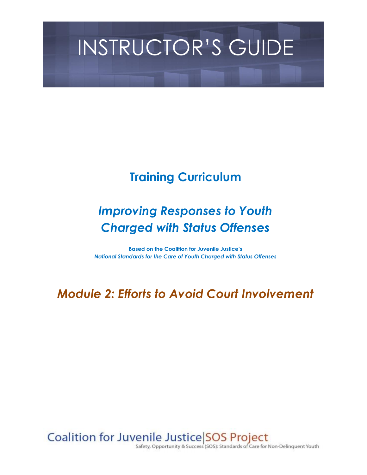# INSTRUCTOR'S GUIDE

# **Training Curriculum**

# *Improving Responses to Youth Charged with Status Offenses*

**Based on the Coalition for Juvenile Justice's** *National Standards for the Care of Youth Charged with Status Offenses*

*Module 2: Efforts to Avoid Court Involvement*

Coalition for Juvenile Justice SOS Project

Safety, Opportunity & Success (SOS): Standards of Care for Non-Delinquent Youth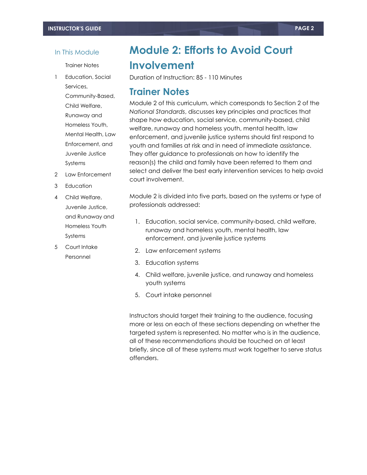#### In This Module

Trainer Notes

1 Education, Social Services, Community-Based, Child Welfare, Runaway and Homeless Youth, Mental Health, Law Enforcement, and Juvenile Justice Systems

2 Law Enforcement

3 Education

4 Child Welfare,

Systems 5 Court Intake Personnel

Juvenile Justice, and Runaway and Homeless Youth

**Module 2: Efforts to Avoid Court Involvement**

Duration of Instruction: 85 - 110 Minutes

## **Trainer Notes**

Module 2 of this curriculum, which corresponds to Section 2 of the *National Standards*, discusses key principles and practices that shape how education, social service, community-based, child welfare, runaway and homeless youth, mental health, law enforcement, and juvenile justice systems should first respond to youth and families at risk and in need of immediate assistance. They offer guidance to professionals on how to identify the reason(s) the child and family have been referred to them and select and deliver the best early intervention services to help avoid court involvement.

Module 2 is divided into five parts, based on the systems or type of professionals addressed:

- 1. Education, social service, community-based, child welfare, runaway and homeless youth, mental health, law enforcement, and juvenile justice systems
- 2. Law enforcement systems
- 3. Education systems
- 4. Child welfare, juvenile justice, and runaway and homeless youth systems
- 5. Court intake personnel

Instructors should target their training to the audience, focusing more or less on each of these sections depending on whether the targeted system is represented. No matter who is in the audience, all of these recommendations should be touched on at least briefly, since all of these systems must work together to serve status offenders.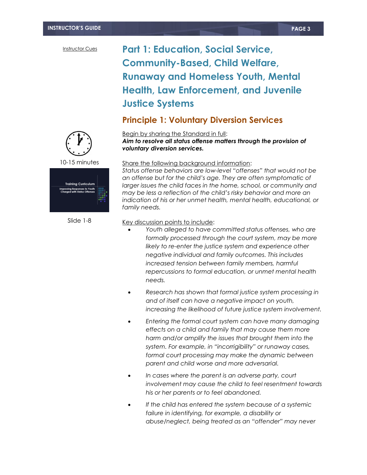# **Part 1: Education, Social Service, Community-Based, Child Welfare, Runaway and Homeless Youth, Mental Health, Law Enforcement, and Juvenile Justice Systems**

### **Principle 1: Voluntary Diversion Services**



10-15 minutes



Slide 1-8

#### Begin by sharing the Standard in full:

*Aim to resolve all status offense matters through the provision of voluntary diversion services.*

#### Share the following background information:

*Status offense behaviors are low-level "offenses" that would not be an offense but for the child's age. They are often symptomatic of larger issues the child faces in the home, school, or community and may be less a reflection of the child's risky behavior and more an indication of his or her unmet health, mental health, educational, or family needs.* 

- *Youth alleged to have committed status offenses, who are formally processed through the court system, may be more likely to re-enter the justice system and experience other negative individual and family outcomes. This includes increased tension between family members, harmful repercussions to formal education, or unmet mental health needs.*
- *Research has shown that formal justice system processing in and of itself can have a negative impact on youth, increasing the likelihood of future justice system involvement.*
- *Entering the formal court system can have many damaging effects on a child and family that may cause them more harm and/or amplify the issues that brought them into the system. For example, in "incorrigibility" or runaway cases, formal court processing may make the dynamic between parent and child worse and more adversarial.*
- *In cases where the parent is an adverse party, court involvement may cause the child to feel resentment towards his or her parents or to feel abandoned.*
- *If the child has entered the system because of a systemic failure in identifying, for example, a disability or abuse/neglect, being treated as an "offender" may never*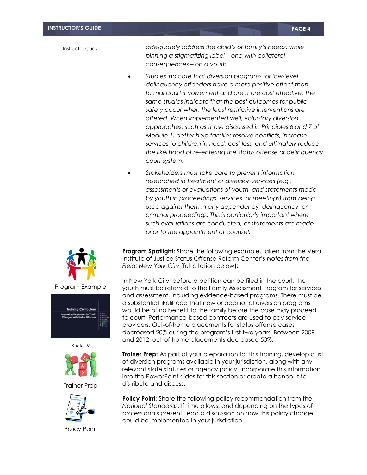*adequately address the child's or family's needs, while pinning a stigmatizing label – one with collateral consequences – on a youth.*

- *Studies indicate that diversion programs for low-level delinquency offenders have a more positive effect than formal court involvement and are more cost effective. The same studies indicate that the best outcomes for public safety occur when the least restrictive interventions are offered. When implemented well, voluntary diversion approaches, such as those discussed in Principles 6 and 7 of Module 1, better help families resolve conflicts, increase services to children in need, cost less, and ultimately reduce the likelihood of re-entering the status offense or delinquency court system.*
- *Stakeholders must take care to prevent information researched in treatment or diversion services (e.g., assessments or evaluations of youth, and statements made by youth in proceedings, services, or meetings) from being used against them in any dependency, delinquency, or criminal proceedings. This is particularly important where such evaluations are conducted, or statements are made, prior to the appointment of counsel.*

**Program Spotlight:** Share the following example, taken from the Vera Institute of Justice Status Offense Reform Center's *Notes from the Field: New York City* (full citation below):

In New York City, before a petition can be filed in the court, the youth must be referred to the Family Assessment Program for services and assessment, including evidence-based programs. There must be a substantial likelihood that new or additional diversion programs would be of no benefit to the family before the case may proceed to court. Performance-based contracts are used to pay service providers. Out-of-home placements for status offense cases decreased 20% during the program's first two years. Between 2009 and 2012, out-of-home placements decreased 50%.

**Trainer Prep:** As part of your preparation for this training, develop a list of diversion programs available in your jurisdiction, along with any relevant state statutes or agency policy. Incorporate this information into the PowerPoint slides for this section or create a handout to distribute and discuss.

**Policy Point:** Share the following policy recommendation from the *National Standards*. If time allows, and depending on the types of professionals present, lead a discussion on how this policy change could be implemented in your jurisdiction.





Slide 9

Trainer Prep



Policy Point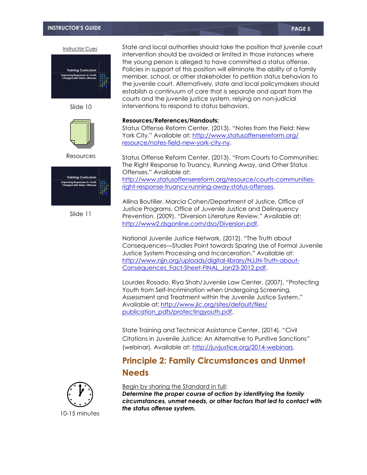#### **INSTRUCTOR'S GUIDE PAGE 5**

Instructor Cues



Slide 10



Resources



Slide 11

State and local authorities should take the position that juvenile court intervention should be avoided or limited in those instances where the young person is alleged to have committed a status offense. Policies in support of this position will eliminate the ability of a family member, school, or other stakeholder to petition status behaviors to the juvenile court. Alternatively, state and local policymakers should establish a continuum of care that is separate and apart from the courts and the juvenile justice system, relying on non-judicial interventions to respond to status behaviors.

#### **Resources/References/Handouts:**

Status Offense Reform Center. (2013). "Notes from the Field: New York City." Available at: [http://www.statusoffensereform.org/](http://www.statusoffensereform.org/resource/notes-field-new-york-city-ny) [resource/notes-field-new-york-city-ny.](http://www.statusoffensereform.org/resource/notes-field-new-york-city-ny)

Status Offense Reform Center. (2013). "From Courts to Communities: The Right Response to Truancy, Running Away, and Other Status Offenses." Available at: [http://www.statusoffensereform.org/resource/courts-communities](http://www.statusoffensereform.org/resource/courts-communities-right-response-truancy-running-away-status-offenses)[right-response-truancy-running-away-status-offenses.](http://www.statusoffensereform.org/resource/courts-communities-right-response-truancy-running-away-status-offenses)

Allina Boutilier, Marcia Cohen/Department of Justice, Office of Justice Programs, Office of Juvenile Justice and Delinquency Prevention. (2009). "Diversion Literature Review." Available at: [http://www2.dsgonline.com/dso/Diversion.pdf.](http://www2.dsgonline.com/dso/Diversion.pdf)

National Juvenile Justice Network. (2012). "The Truth about Consequences—Studies Point towards Sparing Use of Formal Juvenile Justice System Processing and Incarceration." Available at: [http://www.njjn.org/uploads/digital-library/NJJN-Truth-about-](http://www.njjn.org/uploads/digital-library/NJJN-Truth-about-Consequences_Fact-Sheet-FINAL_Jan23-2012.pdf)[Consequences\\_Fact-Sheet-FINAL\\_Jan23-2012.pdf.](http://www.njjn.org/uploads/digital-library/NJJN-Truth-about-Consequences_Fact-Sheet-FINAL_Jan23-2012.pdf)

Lourdes Rosado, Riya Shah/Juvenile Law Center. (2007). "Protecting Youth from Self-Incrimination when Undergoing Screening, Assessment and Treatment within the Juvenile Justice System." Available at: [http://www.jlc.org/sites/default/files/](http://www.jlc.org/sites/default/files/publication_pdfs/protectingyouth.pdf) [publication\\_pdfs/protectingyouth.pdf.](http://www.jlc.org/sites/default/files/publication_pdfs/protectingyouth.pdf)

State Training and Technical Assistance Center. (2014). "Civil Citations in Juvenile Justice: An Alternative to Punitive Sanctions" (webinar)*.* Available at: [http://juvjustice.org/2014-webinars.](http://juvjustice.org/2014-webinars)

### **Principle 2: Family Circumstances and Unmet Needs**



Begin by sharing the Standard in full:

*Determine the proper course of action by identifying the family circumstances, unmet needs, or other factors that led to contact with the status offense system.*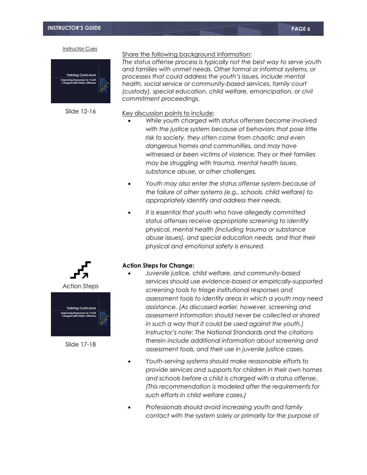

Slide 12-16

Share the following background information:

*The status offense process is typically not the best way to serve youth and families with unmet needs. Other formal or informal systems, or processes that could address the youth's issues, include mental health, social service or community-based services, family court (custody), special education, child welfare, emancipation, or civil commitment proceedings.* 

Key discussion points to include:

- *While youth charged with status offenses become involved with the justice system because of behaviors that pose little risk to society, they often come from chaotic and even dangerous homes and communities, and may have witnessed or been victims of violence. They or their families may be struggling with trauma, mental health issues, substance abuse, or other challenges.*
- *Youth may also enter the status offense system because of the failure of other systems (e.g., schools, child welfare) to appropriately identify and address their needs.*
- *It is essential that youth who have allegedly committed status offenses receive appropriate screening to identify physical, mental health (including trauma or substance abuse issues), and special education needs, and that their physical and emotional safety is ensured.*

#### **Action Steps for Change:**

- *Juvenile justice, child welfare, and community-based services should use evidence-based or empirically-supported screening tools to triage institutional responses and assessment tools to identify areas in which a youth may need assistance. (As discussed earlier, however, screening and assessment information should never be collected or shared in such a way that it could be used against the youth.) Instructor's note: The* National Standards *and the citations therein include additional information about screening and assessment tools, and their use in juvenile justice cases.*
- *Youth-serving systems should make reasonable efforts to provide services and supports for children in their own homes and schools before a child is charged with a status offense. (This recommendation is modeled after the requirements for such efforts in child welfare cases.)*
- *Professionals should avoid increasing youth and family contact with the system solely or primarily for the purpose of*



Slide 17-18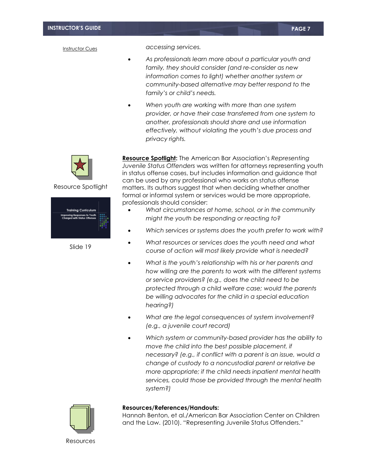*accessing services.* 

- *As professionals learn more about a particular youth and family, they should consider (and re-consider as new information comes to light) whether another system or community-based alternative may better respond to the family's or child's needs.*
- *When youth are working with more than one system provider, or have their case transferred from one system to another, professionals should share and use information effectively, without violating the youth's due process and privacy rights.*



Resource Spotlight



Slide 19

**Resource Spotlight:** The American Bar Association's *Representing Juvenile Status Offenders* was written for attorneys representing youth in status offense cases, but includes information and guidance that can be used by any professional who works on status offense matters. Its authors suggest that when deciding whether another formal or informal system or services would be more appropriate, professionals should consider:

- *What circumstances at home, school, or in the community might the youth be responding or reacting to?*
- *Which services or systems does the youth prefer to work with?*
- *What resources or services does the youth need and what course of action will most likely provide what is needed?*
- *What is the youth's relationship with his or her parents and how willing are the parents to work with the different systems or service providers? (e.g., does the child need to be protected through a child welfare case; would the parents be willing advocates for the child in a special education hearing?)*
- *What are the legal consequences of system involvement? (e.g., a juvenile court record)*
- *Which system or community-based provider has the ability to move the child into the best possible placement, if necessary? (e.g., if conflict with a parent is an issue, would a change of custody to a noncustodial parent or relative be more appropriate; if the child needs inpatient mental health services, could those be provided through the mental health system?)*



#### **Resources/References/Handouts:**

Hannah Benton, et al./American Bar Association Center on Children and the Law. (2010). "Representing Juvenile Status Offenders."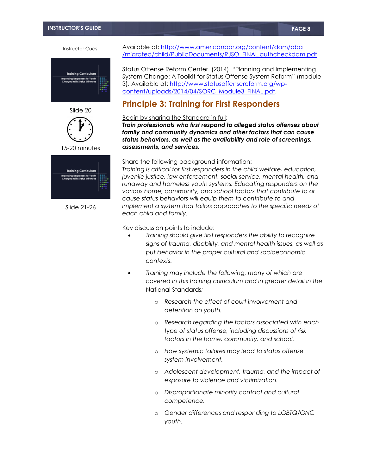



15-20 minutes



Slide 21-26

Available at: [http://www.americanbar.org/content/dam/aba](http://www.americanbar.org/content/dam/aba/migrated/child/PublicDocuments/RJSO_FINAL.authcheckdam.pdf) [/migrated/child/PublicDocuments/RJSO\\_FINAL.authcheckdam.pdf.](http://www.americanbar.org/content/dam/aba/migrated/child/PublicDocuments/RJSO_FINAL.authcheckdam.pdf)

Status Offense Reform Center. (2014). "Planning and Implementing System Change: A Toolkit for Status Offense System Reform" (module 3). Available at: [http://www.statusoffensereform.org/wp](http://www.statusoffensereform.org/wp-content/uploads/2014/04/SORC_Module3_FINAL.pdf)[content/uploads/2014/04/SORC\\_Module3\\_FINAL.pdf.](http://www.statusoffensereform.org/wp-content/uploads/2014/04/SORC_Module3_FINAL.pdf)

### **Principle 3: Training for First Responders**

#### Begin by sharing the Standard in full:

*Train professionals who first respond to alleged status offenses about family and community dynamics and other factors that can cause status behaviors, as well as the availability and role of screenings, assessments, and services.*

#### Share the following background information:

*Training is critical for first responders in the child welfare, education, juvenile justice, law enforcement, social service, mental health, and runaway and homeless youth systems. Educating responders on the various home, community, and school factors that contribute to or cause status behaviors will equip them to contribute to and implement a system that tailors approaches to the specific needs of each child and family.* 

- *Training should give first responders the ability to recognize signs of trauma, disability, and mental health issues, as well as put behavior in the proper cultural and socioeconomic contexts.*
- *Training may include the following, many of which are covered in this training curriculum and in greater detail in the*  National Standards*:*
	- o *Research the effect of court involvement and detention on youth.*
	- o *Research regarding the factors associated with each type of status offense, including discussions of risk factors in the home, community, and school.*
	- o *How systemic failures may lead to status offense system involvement.*
	- o *Adolescent development, trauma, and the impact of exposure to violence and victimization.*
	- o *Disproportionate minority contact and cultural competence.*
	- o *Gender differences and responding to LGBTQ/GNC youth.*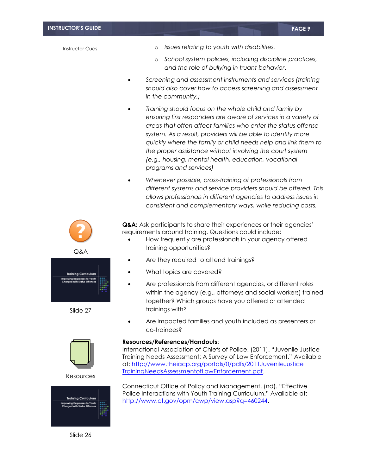- o *Issues relating to youth with disabilities.*
- o *School system policies, including discipline practices, and the role of bullying in truant behavior*.
- *Screening and assessment instruments and services (training should also cover how to access screening and assessment in the community.)*
- *Training should focus on the whole child and family by ensuring first responders are aware of services in a variety of areas that often affect families who enter the status offense system. As a result, providers will be able to identify more quickly where the family or child needs help and link them to the proper assistance without involving the court system (e.g., housing, mental health, education, vocational programs and services)*
- *Whenever possible, cross-training of professionals from different systems and service providers should be offered. This allows professionals in different agencies to address issues in consistent and complementary ways, while reducing costs.*



Q&A



Slide 27



Resources



Slide 26

Q&A: Ask participants to share their experiences or their agencies' requirements around training. Questions could include:

- How frequently are professionals in your agency offered training opportunities?
- Are they required to attend trainings?
- What topics are covered?
- Are professionals from different agencies, or different roles within the agency (e.g., attorneys and social workers) trained together? Which groups have you offered or attended trainings with?
- Are impacted families and youth included as presenters or co-trainees?

#### **Resources/References/Handouts:**

International Association of Chiefs of Police. (2011). "Juvenile Justice Training Needs Assessment: A Survey of Law Enforcement." Available at: [http://www.theiacp.org/portals/0/pdfs/2011JuvenileJustice](http://www.theiacp.org/portals/0/pdfs/2011JuvenileJusticeTrainingNeedsAssessmentofLawEnforcement.pdf) [TrainingNeedsAssessmentofLawEnforcement.pdf.](http://www.theiacp.org/portals/0/pdfs/2011JuvenileJusticeTrainingNeedsAssessmentofLawEnforcement.pdf)

Connecticut Office of Policy and Management. (nd). "Effective Police Interactions with Youth Training Curriculum." Available at: [http://www.ct.gov/opm/cwp/view.asp?q=460244.](http://www.ct.gov/opm/cwp/view.asp?q=460244)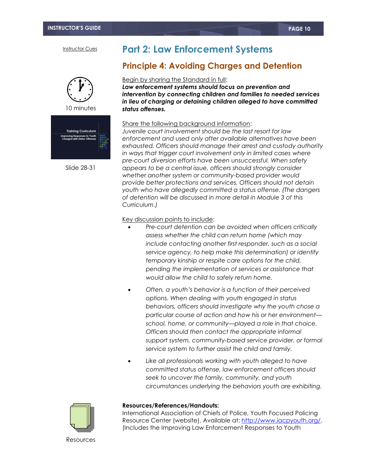

10 minutes



Slide 28-31

# **Part 2: Law Enforcement Systems**

### **Principle 4: Avoiding Charges and Detention**

#### Begin by sharing the Standard in full:

*Law enforcement systems should focus on prevention and intervention by connecting children and families to needed services in lieu of charging or detaining children alleged to have committed status offenses.*

#### Share the following background information:

*Juvenile court involvement should be the last resort for law enforcement and used only after available alternatives have been exhausted. Officers should manage their arrest and custody authority in ways that trigger court involvement only in limited cases where pre-court diversion efforts have been unsuccessful. When safety appears to be a central issue, officers should strongly consider whether another system or community-based provider would provide better protections and services. Officers should not detain youth who have allegedly committed a status offense. (The dangers of detention will be discussed in more detail in Module 3 of this Curriculum.)* 

#### Key discussion points to include:

- *Pre-court detention can be avoided when officers critically assess whether the child can return home (which may include contacting another first responder, such as a social service agency, to help make this determination) or identify temporary kinship or respite care options for the child, pending the implementation of services or assistance that would allow the child to safely return home.*
- *Often, a youth's behavior is a function of their perceived options. When dealing with youth engaged in status behaviors, officers should investigate why the youth chose a particular course of action and how his or her environment school, home, or community—played a role in that choice. Officers should then contact the appropriate informal support system, community-based service provider, or formal service system to further assist the child and family.*
- *Like all professionals working with youth alleged to have committed status offense, law enforcement officers should seek to uncover the family, community, and youth circumstances underlying the behaviors youth are exhibiting.*



#### **Resources/References/Handouts:**

International Association of Chiefs of Police, Youth Focused Policing Resource Center (website). Available at: [http://www.iacpyouth.org/.](http://www.iacpyouth.org/) (Includes the Improving Law Enforcement Responses to Youth

Resources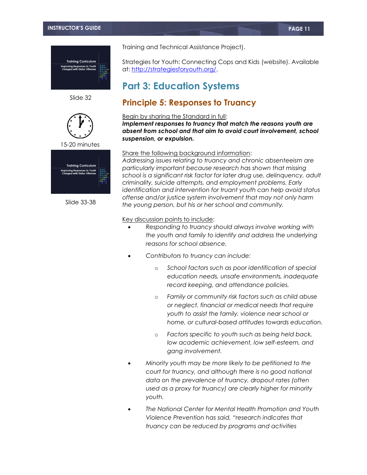

Slide 32



15-20 minutes



Slide 33-38

Training and Technical Assistance Project).

Strategies for Youth: Connecting Cops and Kids (website). Available at: [http://strategiesforyouth.org/.](http://strategiesforyouth.org/)

# **Part 3: Education Systems**

### **Principle 5: Responses to Truancy**

#### Begin by sharing the Standard in full:

*Implement responses to truancy that match the reasons youth are absent from school and that aim to avoid court involvement, school suspension, or expulsion.*

#### Share the following background information:

*Addressing issues relating to truancy and chronic absenteeism are particularly important because research has shown that missing school is a significant risk factor for later drug use, delinquency, adult criminality, suicide attempts, and employment problems. Early identification and intervention for truant youth can help avoid status offense and/or justice system involvement that may not only harm the young person, but his or her school and community.*

- *Responding to truancy should always involve working with the youth and family to identify and address the underlying reasons for school absence.*
- *Contributors to truancy can include:*
	- o *School factors such as poor identification of special education needs, unsafe environments, inadequate record keeping, and attendance policies.*
	- o *Family or community risk factors such as child abuse or neglect, financial or medical needs that require youth to assist the family, violence near school or home, or cultural-based attitudes towards education.*
	- o *Factors specific to youth such as being held back, low academic achievement, low self-esteem, and gang involvement.*
- *Minority youth may be more likely to be petitioned to the court for truancy, and although there is no good national data on the prevalence of truancy, dropout rates (often used as a proxy for truancy) are clearly higher for minority youth.*
- *The National Center for Mental Health Promotion and Youth Violence Prevention has said, "research indicates that truancy can be reduced by programs and activities*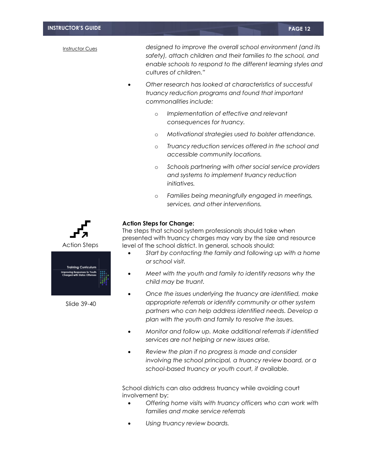*designed to improve the overall school environment (and its safety), attach children and their families to the school, and enable schools to respond to the different learning styles and cultures of children."* 

- *Other research has looked at characteristics of successful truancy reduction programs and found that important commonalities include:*
	- o *Implementation of effective and relevant consequences for truancy.*
	- o *Motivational strategies used to bolster attendance.*
	- o *Truancy reduction services offered in the school and accessible community locations.*
	- o *Schools partnering with other social service providers and systems to implement truancy reduction initiatives.*
	- o *Families being meaningfully engaged in meetings, services, and other interventions.*



Slide 39-40

#### **Action Steps for Change:**

The steps that school system professionals should take when presented with truancy charges may vary by the size and resource level of the school district. In general, schools should:

- *Start by contacting the family and following up with a home or school visit.*
- *Meet with the youth and family to identify reasons why the child may be truant.*
- *Once the issues underlying the truancy are identified, make appropriate referrals or identify community or other system partners who can help address identified needs. Develop a plan with the youth and family to resolve the issues.*
- *Monitor and follow up. Make additional referrals if identified services are not helping or new issues arise,*
- *Review the plan if no progress is made and consider*  involving the school principal, a truancy review board, or a *school-based truancy or youth court, if* available.

School districts can also address truancy while avoiding court involvement by:

- *Offering home visits with truancy officers who can work with families and make service referrals*
- *Using truancy review boards.*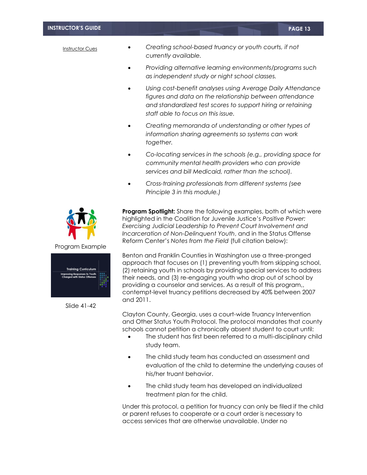#### **INSTRUCTOR'S GUIDE PAGE 13**

#### Instructor Cues

- *Creating school-based truancy or youth courts, if not currently available.*
- *Providing alternative learning environments/programs such as independent study or night school classes.*
- *Using cost-benefit analyses using Average Daily Attendance figures and data on the relationship between attendance and standardized test scores to support hiring or retaining staff able to focus on this issue.*
- *Creating memoranda of understanding or other types of information sharing agreements so systems can work together.*
- *Co-locating services in the schools (e.g., providing space for community mental health providers who can provide services and bill Medicaid, rather than the school).*
- *Cross-training professionals from different systems (see Principle 3 in this module.)*





Slide 41-42

**Program Spotlight:** Share the following examples, both of which were highlighted in the Coalition for Juvenile Justice's *Positive Power: Exercising Judicial Leadership to Prevent Court Involvement and Incarceration of Non-Delinquent Youth*, and in the Status Offense Reform Center's *Notes from the Field* (full citation below):

Benton and Franklin Counties in Washington use a three-pronged approach that focuses on (1) preventing youth from skipping school, (2) retaining youth in schools by providing special services to address their needs, and (3) re-engaging youth who drop out of school by providing a counselor and services. As a result of this program,, contempt-level truancy petitions decreased by 40% between 2007 and 2011.

Clayton County, Georgia, uses a court-wide Truancy Intervention and Other Status Youth Protocol. The protocol mandates that county schools cannot petition a chronically absent student to court until:

- The student has first been referred to a multi-disciplinary child study team.
- The child study team has conducted an assessment and evaluation of the child to determine the underlying causes of his/her truant behavior.
- The child study team has developed an individualized treatment plan for the child.

Under this protocol, a petition for truancy can only be filed if the child or parent refuses to cooperate or a court order is necessary to access services that are otherwise unavailable. Under no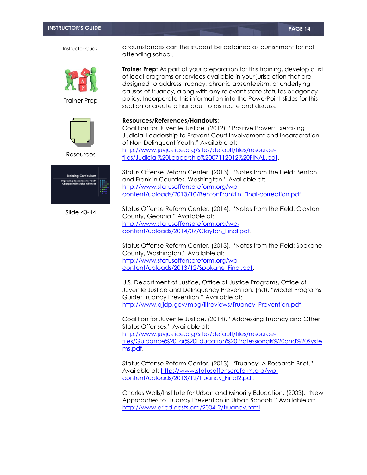

Trainer Prep



Resources



Slide 43-44

circumstances can the student be detained as punishment for not attending school.

**Trainer Prep:** As part of your preparation for this training, develop a list of local programs or services available in your jurisdiction that are designed to address truancy, chronic absenteeism, or underlying causes of truancy, along with any relevant state statutes or agency policy. Incorporate this information into the PowerPoint slides for this section or create a handout to distribute and discuss.

#### **Resources/References/Handouts:**

Coalition for Juvenile Justice. (2012). "Positive Power: Exercising Judicial Leadership to Prevent Court Involvement and Incarceration of Non-Delinquent Youth." Available at: [http://www.juvjustice.org/sites/default/files/resource](http://www.juvjustice.org/sites/default/files/resource-files/Judicial%20Leadership%2007112012%20FINAL.pdf)[files/Judicial%20Leadership%2007112012%20FINAL.pdf.](http://www.juvjustice.org/sites/default/files/resource-files/Judicial%20Leadership%2007112012%20FINAL.pdf)

Status Offense Reform Center. (2013). "Notes from the Field: Benton and Franklin Counties, Washington." Available at: [http://www.statusoffensereform.org/wp](http://www.statusoffensereform.org/wp-content/uploads/2013/10/BentonFranklin_Final-correction.pdf)[content/uploads/2013/10/BentonFranklin\\_Final-correction.pdf.](http://www.statusoffensereform.org/wp-content/uploads/2013/10/BentonFranklin_Final-correction.pdf)

Status Offense Reform Center. (2014). "Notes from the Field: Clayton County, Georgia." Available at: [http://www.statusoffensereform.org/wp](http://www.statusoffensereform.org/wp-content/uploads/2014/07/Clayton_Final.pdf)[content/uploads/2014/07/Clayton\\_Final.pdf.](http://www.statusoffensereform.org/wp-content/uploads/2014/07/Clayton_Final.pdf)

Status Offense Reform Center. (2013). "Notes from the Field: Spokane County, Washington." Available at: [http://www.statusoffensereform.org/wp](http://www.statusoffensereform.org/wp-content/uploads/2013/12/Spokane_Final.pdf)[content/uploads/2013/12/Spokane\\_Final.pdf.](http://www.statusoffensereform.org/wp-content/uploads/2013/12/Spokane_Final.pdf)

U.S. Department of Justice, Office of Justice Programs, Office of Juvenile Justice and Delinquency Prevention. (nd). "Model Programs Guide: Truancy Prevention." Available at: http://www.ojjdp.gov/mpg/litreviews/Truancy Prevention.pdf.

Coalition for Juvenile Justice. (2014). "Addressing Truancy and Other Status Offenses." Available at: [http://www.juvjustice.org/sites/default/files/resource](http://www.juvjustice.org/sites/default/files/resource-files/Guidance%20For%20Education%20Professionals%20and%20Systems.pdf)[files/Guidance%20For%20Education%20Professionals%20and%20Syste](http://www.juvjustice.org/sites/default/files/resource-files/Guidance%20For%20Education%20Professionals%20and%20Systems.pdf) [ms.pdf.](http://www.juvjustice.org/sites/default/files/resource-files/Guidance%20For%20Education%20Professionals%20and%20Systems.pdf)

Status Offense Reform Center. (2013). "Truancy: A Research Brief." Available at: [http://www.statusoffensereform.org/wp](http://www.statusoffensereform.org/wp-content/uploads/2013/12/Truancy_Final2.pdf)[content/uploads/2013/12/Truancy\\_Final2.pdf.](http://www.statusoffensereform.org/wp-content/uploads/2013/12/Truancy_Final2.pdf)

Charles Walls/Institute for Urban and Minority Education. (2003). "New Approaches to Truancy Prevention in Urban Schools." Available at: [http://www.ericdigests.org/2004-2/truancy.html.](http://www.ericdigests.org/2004-2/truancy.html)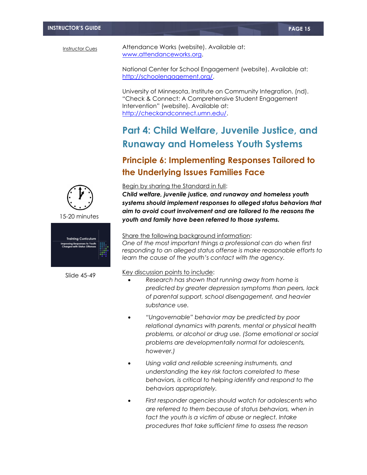Attendance Works (website). Available at: [www.attendanceworks.org.](http://www.attendanceworks.org/)

National Center for School Engagement (website). Available at: [http://schoolengagement.org/.](http://schoolengagement.org/)

University of Minnesota, Institute on Community Integration. (nd). "Check & Connect: A Comprehensive Student Engagement Intervention" (website). Available at: [http://checkandconnect.umn.edu/.](http://checkandconnect.umn.edu/)

# **Part 4: Child Welfare, Juvenile Justice, and Runaway and Homeless Youth Systems**

# **Principle 6: Implementing Responses Tailored to the Underlying Issues Families Face**



15-20 minutes



Slide 45-49

#### Begin by sharing the Standard in full:

*Child welfare, juvenile justice, and runaway and homeless youth systems should implement responses to alleged status behaviors that aim to avoid court involvement and are tailored to the reasons the youth and family have been referred to those systems.*

#### Share the following background information:

*One of the most important things a professional can do when first responding to an alleged status offense is make reasonable efforts to learn the cause of the youth's contact with the agency.* 

- *Research has shown that running away from home is predicted by greater depression symptoms than peers, lack of parental support, school disengagement, and heavier substance use.*
- *"Ungovernable" behavior may be predicted by poor relational dynamics with parents, mental or physical health problems, or alcohol or drug use. (Some emotional or social problems are developmentally normal for adolescents, however.)*
- *Using valid and reliable screening instruments, and understanding the key risk factors correlated to these behaviors, is critical to helping identify and respond to the behaviors appropriately.*
- *First responder agencies should watch for adolescents who are referred to them because of status behaviors, when in fact the youth is a victim of abuse or neglect. Intake procedures that take sufficient time to assess the reason*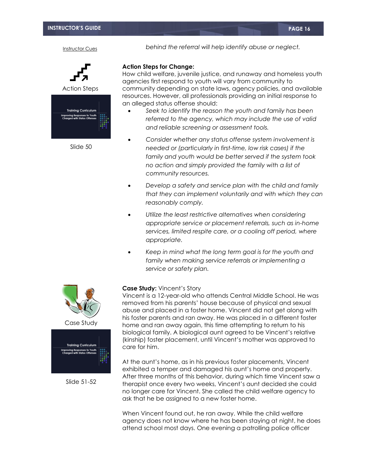Action Steps **Training Curriculum** ng Responses to You<br>a with Status Offens

Slide 50

*behind the referral will help identify abuse or neglect.* 

#### **Action Steps for Change:**

How child welfare, juvenile justice, and runaway and homeless youth agencies first respond to youth will vary from community to community depending on state laws, agency policies, and available resources. However, all professionals providing an initial response to an alleged status offense should:

- *Seek to identify the reason the youth and family has been referred to the agency, which may include the use of valid and reliable screening or assessment tools.*
- *Consider whether any status offense system involvement is needed or (particularly in first-time, low risk cases) if the family and youth would be better served if the system took no action and simply provided the family with a list of community resources.*
- *Develop a safety and service plan with the child and family that they can implement voluntarily and with which they can reasonably comply.*
- *Utilize the least restrictive alternatives when considering appropriate service or placement referrals, such as in-home services, limited respite care, or a cooling off period, where appropriate.*
- *Keep in mind what the long term goal is for the youth and family when making service referrals or implementing a service or safety plan.*

#### **Case Study:** Vincent's Story

Vincent is a 12-year-old who attends Central Middle School. He was removed from his parents' house because of physical and sexual abuse and placed in a foster home. Vincent did not get along with his foster parents and ran away. He was placed in a different foster home and ran away again, this time attempting to return to his biological family. A biological aunt agreed to be Vincent's relative (kinship) foster placement, until Vincent's mother was approved to care for him.

At the aunt's home, as in his previous foster placements, Vincent exhibited a temper and damaged his aunt's home and property. After three months of this behavior, during which time Vincent saw a therapist once every two weeks, Vincent's aunt decided she could no longer care for Vincent. She called the child welfare agency to ask that he be assigned to a new foster home.

When Vincent found out, he ran away. While the child welfare agency does not know where he has been staying at night, he does attend school most days. One evening a patrolling police officer





Slide 51-52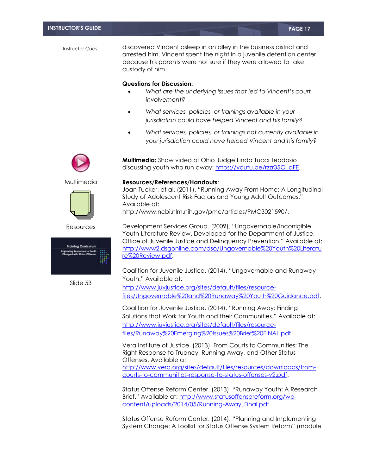discovered Vincent asleep in an alley in the business district and arrested him. Vincent spent the night in a juvenile detention center because his parents were not sure if they were allowed to take custody of him.

#### **Questions for Discussion:**

- *What are the underlying issues that led to Vincent's court involvement?*
- *What services, policies, or trainings available in your jurisdiction could have helped Vincent and his family?*

**Multimedia:** Show video of Ohio Judge Linda Tucci Teodosio discussing youth who run away: https://youtu.be/rzzr350\_qFE.

 *What services, policies, or trainings not currently available in your jurisdiction could have helped Vincent and his family?*

Multimedia



Resources



Slide 53

#### **Resources/References/Handouts:**

Joan Tucker, et al. (2011). "Running Away From Home: A Longitudinal Study of Adolescent Risk Factors and Young Adult Outcomes." Available at: http://www.ncbi.nlm.nih.gov/pmc/articles/PMC3021590/.

Development Services Group. (2009). "Ungovernable/Incorrigible Youth Literature Review. Developed for the Department of Justice, Office of Juvenile Justice and Delinquency Prevention." Available at: [http://www2.dsgonline.com/dso/Ungovernable%20Youth%20Literatu](http://www2.dsgonline.com/dso/Ungovernable%20Youth%20Literature%20Review.pdf) [re%20Review.pdf.](http://www2.dsgonline.com/dso/Ungovernable%20Youth%20Literature%20Review.pdf)

Coalition for Juvenile Justice. (2014). "Ungovernable and Runaway Youth." Available at:

[http://www.juvjustice.org/sites/default/files/resource](http://www.juvjustice.org/sites/default/files/resource-files/Ungovernable%20and%20Runaway%20Youth%20Guidance.pdf)[files/Ungovernable%20and%20Runaway%20Youth%20Guidance.pdf.](http://www.juvjustice.org/sites/default/files/resource-files/Ungovernable%20and%20Runaway%20Youth%20Guidance.pdf)

Coalition for Juvenile Justice. (2014). "Running Away: Finding Solutions that Work for Youth and their Communities." Available at: [http://www.juvjustice.org/sites/default/files/resource](http://www.juvjustice.org/sites/default/files/resource-files/Runaway%20Emerging%20Issues%20Brief%20FINAL.pdf)[files/Runaway%20Emerging%20Issues%20Brief%20FINAL.pdf.](http://www.juvjustice.org/sites/default/files/resource-files/Runaway%20Emerging%20Issues%20Brief%20FINAL.pdf)

Vera Institute of Justice. (2013). From Courts to Communities: The Right Response to Truancy, Running Away, and Other Status Offenses. Available at: [http://www.vera.org/sites/default/files/resources/downloads/from](http://www.vera.org/sites/default/files/resources/downloads/from-courts-to-communities-response-to-status-offenses-v2.pdf)[courts-to-communities-response-to-status-offenses-v2.pdf.](http://www.vera.org/sites/default/files/resources/downloads/from-courts-to-communities-response-to-status-offenses-v2.pdf)

Status Offense Reform Center. (2013). "Runaway Youth: A Research Brief." Available at: [http://www.statusoffensereform.org/wp](http://www.statusoffensereform.org/wp-content/uploads/2014/05/Running-Away_Final.pdf)[content/uploads/2014/05/Running-Away\\_Final.pdf.](http://www.statusoffensereform.org/wp-content/uploads/2014/05/Running-Away_Final.pdf)

Status Offense Reform Center. (2014). "Planning and Implementing System Change: A Toolkit for Status Offense System Reform" (module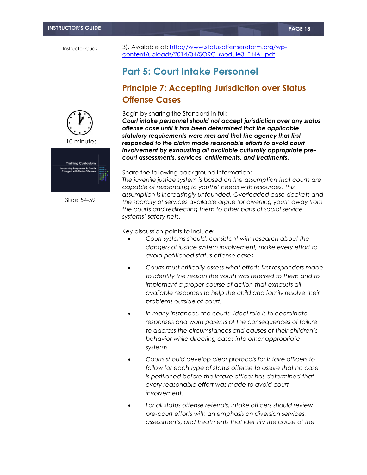3). Available at: [http://www.statusoffensereform.org/wp](http://www.statusoffensereform.org/wp-content/uploads/2014/04/SORC_Module3_FINAL.pdf)[content/uploads/2014/04/SORC\\_Module3\\_FINAL.pdf.](http://www.statusoffensereform.org/wp-content/uploads/2014/04/SORC_Module3_FINAL.pdf)

# **Part 5: Court Intake Personnel**

# **Principle 7: Accepting Jurisdiction over Status Offense Cases**



10 minutes



Slide 54-59

#### Begin by sharing the Standard in full:

*Court intake personnel should not accept jurisdiction over any status offense case until it has been determined that the applicable statutory requirements were met and that the agency that first responded to the claim made reasonable efforts to avoid court involvement by exhausting all available culturally appropriate precourt assessments, services, entitlements, and treatments.*

#### Share the following backaround information:

*The juvenile justice system is based on the assumption that courts are capable of responding to youths' needs with resources. This assumption is increasingly unfounded. Overloaded case dockets and the scarcity of services available argue for diverting youth away from the courts and redirecting them to other parts of social service systems' safety nets.*

- *Court systems should, consistent with research about the dangers of justice system involvement, make every effort to avoid petitioned status offense cases.*
- *Courts must critically assess what efforts first responders made to identify the reason the youth was referred to them and to implement a proper course of action that exhausts all available resources to help the child and family resolve their problems outside of court.*
- *In many instances, the courts' ideal role is to coordinate responses and warn parents of the consequences of failure to address the circumstances and causes of their children's behavior while directing cases into other appropriate systems.*
- *Courts should develop clear protocols for intake officers to follow for each type of status offense to assure that no case is petitioned before the intake officer has determined that every reasonable effort was made to avoid court involvement.*
- *For all status offense referrals, intake officers should review pre-court efforts with an emphasis on diversion services, assessments, and treatments that identify the cause of the*